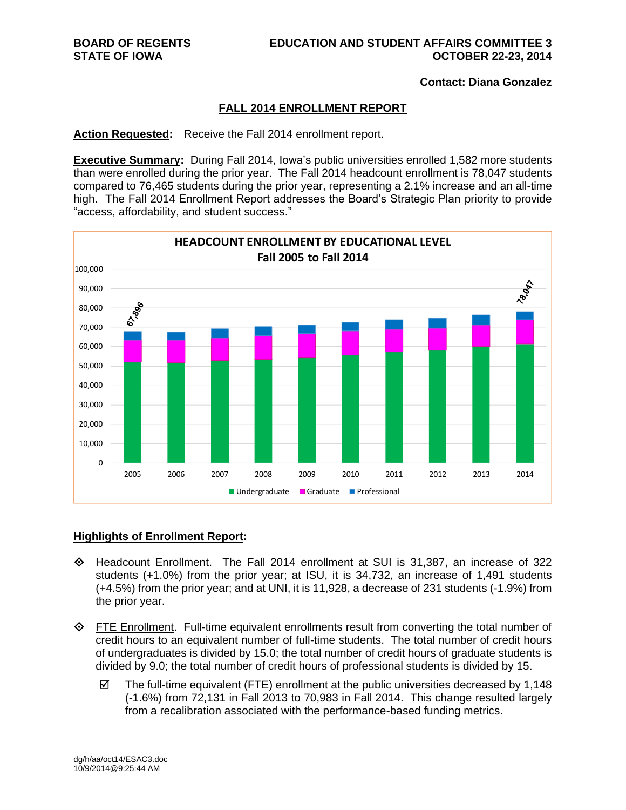**Contact: Diana Gonzalez**

### **FALL 2014 ENROLLMENT REPORT**

**Action Requested:** Receive the Fall 2014 enrollment report.

**Executive Summary:** During Fall 2014, Iowa's public universities enrolled 1,582 more students than were enrolled during the prior year. The Fall 2014 headcount enrollment is 78,047 students compared to 76,465 students during the prior year, representing a 2.1% increase and an all-time high. The Fall 2014 Enrollment Report addresses the Board's Strategic Plan priority to provide "access, affordability, and student success."



#### **Highlights of Enrollment Report:**

- Headcount Enrollment. The Fall 2014 enrollment at SUI is 31,387, an increase of 322 students (+1.0%) from the prior year; at ISU, it is 34,732, an increase of 1,491 students (+4.5%) from the prior year; and at UNI, it is 11,928, a decrease of 231 students (-1.9%) from the prior year.
- FTE Enrollment. Full-time equivalent enrollments result from converting the total number of credit hours to an equivalent number of full-time students. The total number of credit hours of undergraduates is divided by 15.0; the total number of credit hours of graduate students is divided by 9.0; the total number of credit hours of professional students is divided by 15.
	- $\boxtimes$  The full-time equivalent (FTE) enrollment at the public universities decreased by 1,148 (-1.6%) from 72,131 in Fall 2013 to 70,983 in Fall 2014. This change resulted largely from a recalibration associated with the performance-based funding metrics.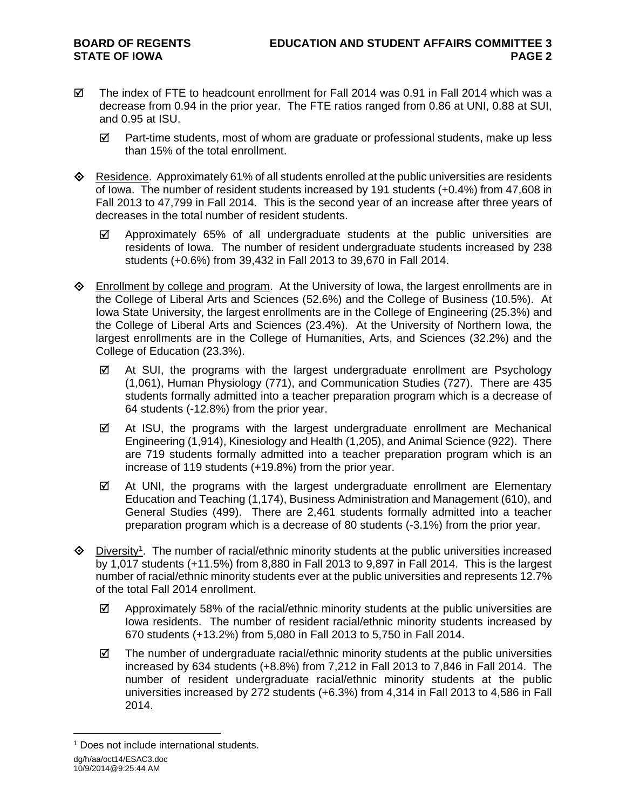- $\boxtimes$  The index of FTE to headcount enrollment for Fall 2014 was 0.91 in Fall 2014 which was a decrease from 0.94 in the prior year. The FTE ratios ranged from 0.86 at UNI, 0.88 at SUI, and 0.95 at ISU.
	- $\boxtimes$  Part-time students, most of whom are graduate or professional students, make up less than 15% of the total enrollment.
- $\diamondsuit$  Residence. Approximately 61% of all students enrolled at the public universities are residents of Iowa. The number of resident students increased by 191 students (+0.4%) from 47,608 in Fall 2013 to 47,799 in Fall 2014. This is the second year of an increase after three years of decreases in the total number of resident students.
	- $\boxtimes$  Approximately 65% of all undergraduate students at the public universities are residents of Iowa. The number of resident undergraduate students increased by 238 students (+0.6%) from 39,432 in Fall 2013 to 39,670 in Fall 2014.
- **Enrollment by college and program.** At the University of Iowa, the largest enrollments are in the College of Liberal Arts and Sciences (52.6%) and the College of Business (10.5%). At Iowa State University, the largest enrollments are in the College of Engineering (25.3%) and the College of Liberal Arts and Sciences (23.4%). At the University of Northern Iowa, the largest enrollments are in the College of Humanities, Arts, and Sciences (32.2%) and the College of Education (23.3%).
	- $\boxtimes$  At SUI, the programs with the largest undergraduate enrollment are Psychology (1,061), Human Physiology (771), and Communication Studies (727). There are 435 students formally admitted into a teacher preparation program which is a decrease of 64 students (-12.8%) from the prior year.
	- $\boxtimes$  At ISU, the programs with the largest undergraduate enrollment are Mechanical Engineering (1,914), Kinesiology and Health (1,205), and Animal Science (922). There are 719 students formally admitted into a teacher preparation program which is an increase of 119 students (+19.8%) from the prior year.
	- $\boxtimes$  At UNI, the programs with the largest undergraduate enrollment are Elementary Education and Teaching (1,174), Business Administration and Management (610), and General Studies (499). There are 2,461 students formally admitted into a teacher preparation program which is a decrease of 80 students (-3.1%) from the prior year.
- $\Diamond$  Diversity<sup>1</sup>. The number of racial/ethnic minority students at the public universities increased by 1,017 students (+11.5%) from 8,880 in Fall 2013 to 9,897 in Fall 2014. This is the largest number of racial/ethnic minority students ever at the public universities and represents 12.7% of the total Fall 2014 enrollment.
	- $\boxtimes$  Approximately 58% of the racial/ethnic minority students at the public universities are Iowa residents. The number of resident racial/ethnic minority students increased by 670 students (+13.2%) from 5,080 in Fall 2013 to 5,750 in Fall 2014.
	- $\boxtimes$  The number of undergraduate racial/ethnic minority students at the public universities increased by 634 students (+8.8%) from 7,212 in Fall 2013 to 7,846 in Fall 2014. The number of resident undergraduate racial/ethnic minority students at the public universities increased by 272 students (+6.3%) from 4,314 in Fall 2013 to 4,586 in Fall 2014.

dg/h/aa/oct14/ESAC3.doc 10/9/2014@9:25:44 AM  $\overline{a}$ <sup>1</sup> Does not include international students.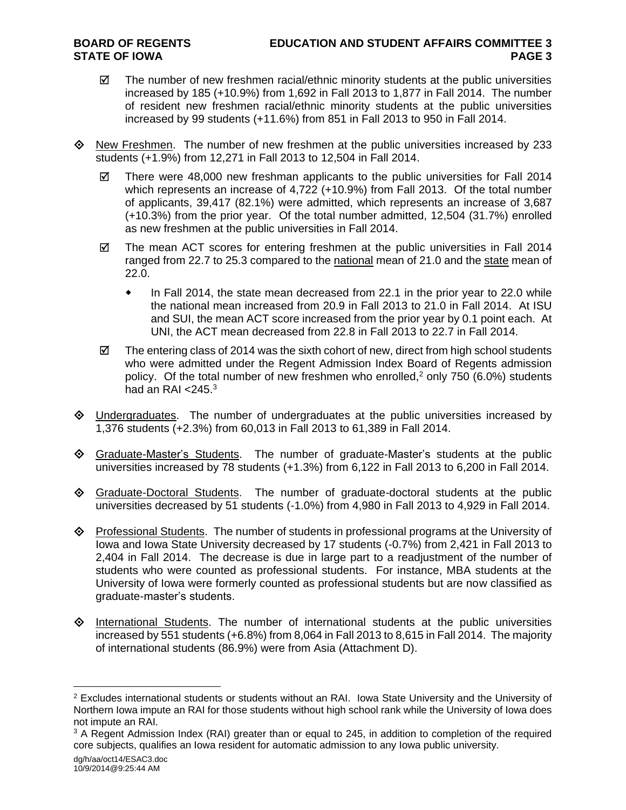- $\boxtimes$  The number of new freshmen racial/ethnic minority students at the public universities increased by 185 (+10.9%) from 1,692 in Fall 2013 to 1,877 in Fall 2014. The number of resident new freshmen racial/ethnic minority students at the public universities increased by 99 students (+11.6%) from 851 in Fall 2013 to 950 in Fall 2014.
- $\Diamond$  New Freshmen. The number of new freshmen at the public universities increased by 233 students (+1.9%) from 12,271 in Fall 2013 to 12,504 in Fall 2014.
	- $\boxtimes$  There were 48,000 new freshman applicants to the public universities for Fall 2014 which represents an increase of 4,722 (+10.9%) from Fall 2013. Of the total number of applicants, 39,417 (82.1%) were admitted, which represents an increase of 3,687 (+10.3%) from the prior year. Of the total number admitted, 12,504 (31.7%) enrolled as new freshmen at the public universities in Fall 2014.
	- $\boxtimes$  The mean ACT scores for entering freshmen at the public universities in Fall 2014 ranged from 22.7 to 25.3 compared to the national mean of 21.0 and the state mean of 22.0.
		- In Fall 2014, the state mean decreased from 22.1 in the prior year to 22.0 while the national mean increased from 20.9 in Fall 2013 to 21.0 in Fall 2014. At ISU and SUI, the mean ACT score increased from the prior year by 0.1 point each. At UNI, the ACT mean decreased from 22.8 in Fall 2013 to 22.7 in Fall 2014.
	- $\boxtimes$  The entering class of 2014 was the sixth cohort of new, direct from high school students who were admitted under the Regent Admission Index Board of Regents admission policy. Of the total number of new freshmen who enrolled,<sup>2</sup> only 750 (6.0%) students had an RAI  $<$ 245. $3$
- $\Diamond$  Undergraduates. The number of undergraduates at the public universities increased by 1,376 students (+2.3%) from 60,013 in Fall 2013 to 61,389 in Fall 2014.
- Graduate-Master's Students. The number of graduate-Master's students at the public universities increased by 78 students (+1.3%) from 6,122 in Fall 2013 to 6,200 in Fall 2014.
- $\Diamond$  Graduate-Doctoral Students. The number of graduate-doctoral students at the public universities decreased by 51 students (-1.0%) from 4,980 in Fall 2013 to 4,929 in Fall 2014.
- $\diamond$  Professional Students. The number of students in professional programs at the University of Iowa and Iowa State University decreased by 17 students (-0.7%) from 2,421 in Fall 2013 to 2,404 in Fall 2014. The decrease is due in large part to a readjustment of the number of students who were counted as professional students. For instance, MBA students at the University of Iowa were formerly counted as professional students but are now classified as graduate-master's students.
- $\diamond$  International Students. The number of international students at the public universities increased by 551 students (+6.8%) from 8,064 in Fall 2013 to 8,615 in Fall 2014. The majority of international students (86.9%) were from Asia (Attachment D).

 $\overline{a}$ 

<sup>&</sup>lt;sup>2</sup> Excludes international students or students without an RAI. Iowa State University and the University of Northern Iowa impute an RAI for those students without high school rank while the University of Iowa does not impute an RAI.

<sup>&</sup>lt;sup>3</sup> A Regent Admission Index (RAI) greater than or equal to 245, in addition to completion of the required core subjects, qualifies an Iowa resident for automatic admission to any Iowa public university.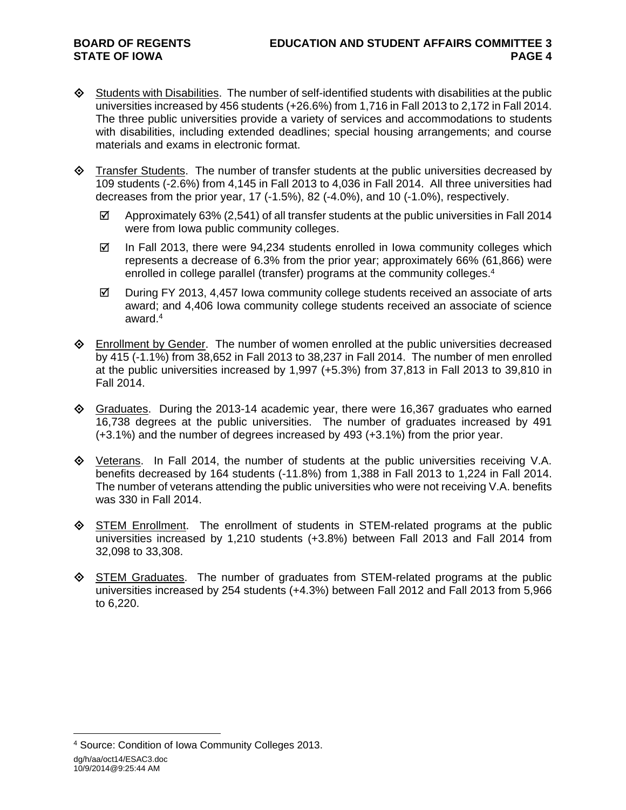- $\diamondsuit$  Students with Disabilities. The number of self-identified students with disabilities at the public universities increased by 456 students (+26.6%) from 1,716 in Fall 2013 to 2,172 in Fall 2014. The three public universities provide a variety of services and accommodations to students with disabilities, including extended deadlines; special housing arrangements; and course materials and exams in electronic format.
- $\Diamond$  Transfer Students. The number of transfer students at the public universities decreased by 109 students (-2.6%) from 4,145 in Fall 2013 to 4,036 in Fall 2014. All three universities had decreases from the prior year, 17 (-1.5%), 82 (-4.0%), and 10 (-1.0%), respectively.
	- $\boxtimes$  Approximately 63% (2,541) of all transfer students at the public universities in Fall 2014 were from Iowa public community colleges.
	- $\boxtimes$  In Fall 2013, there were 94,234 students enrolled in lowa community colleges which represents a decrease of 6.3% from the prior year; approximately 66% (61,866) were enrolled in college parallel (transfer) programs at the community colleges. 4
	- $\boxtimes$  During FY 2013, 4,457 Iowa community college students received an associate of arts award; and 4,406 Iowa community college students received an associate of science award.<sup>4</sup>
- $\Diamond$  Enrollment by Gender. The number of women enrolled at the public universities decreased by 415 (-1.1%) from 38,652 in Fall 2013 to 38,237 in Fall 2014. The number of men enrolled at the public universities increased by 1,997 (+5.3%) from 37,813 in Fall 2013 to 39,810 in Fall 2014.
- $\Diamond$  Graduates. During the 2013-14 academic year, there were 16,367 graduates who earned 16,738 degrees at the public universities. The number of graduates increased by 491 (+3.1%) and the number of degrees increased by 493 (+3.1%) from the prior year.
- $\Diamond$  Veterans. In Fall 2014, the number of students at the public universities receiving V.A. benefits decreased by 164 students (-11.8%) from 1,388 in Fall 2013 to 1,224 in Fall 2014. The number of veterans attending the public universities who were not receiving V.A. benefits was 330 in Fall 2014.
- $\diamondsuit$  STEM Enrollment. The enrollment of students in STEM-related programs at the public universities increased by 1,210 students (+3.8%) between Fall 2013 and Fall 2014 from 32,098 to 33,308.
- $\diamondsuit$  STEM Graduates. The number of graduates from STEM-related programs at the public universities increased by 254 students (+4.3%) between Fall 2012 and Fall 2013 from 5,966 to 6,220.

 $\overline{a}$ 

dg/h/aa/oct14/ESAC3.doc 10/9/2014@9:25:44 AM <sup>4</sup> Source: Condition of Iowa Community Colleges 2013.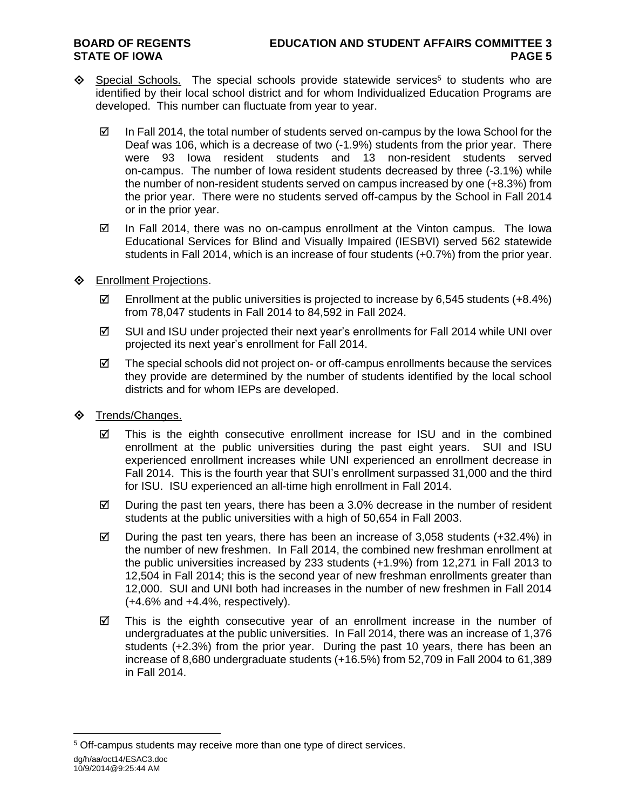- $\Diamond$  Special Schools. The special schools provide statewide services<sup>5</sup> to students who are identified by their local school district and for whom Individualized Education Programs are developed. This number can fluctuate from year to year.
	- $\boxtimes$  In Fall 2014, the total number of students served on-campus by the Iowa School for the Deaf was 106, which is a decrease of two (-1.9%) students from the prior year. There were 93 Iowa resident students and 13 non-resident students served on-campus. The number of Iowa resident students decreased by three (-3.1%) while the number of non-resident students served on campus increased by one (+8.3%) from the prior year. There were no students served off-campus by the School in Fall 2014 or in the prior year.
	- $\boxtimes$  In Fall 2014, there was no on-campus enrollment at the Vinton campus. The lowa Educational Services for Blind and Visually Impaired (IESBVI) served 562 statewide students in Fall 2014, which is an increase of four students (+0.7%) from the prior year.
- **♦** Enrollment Projections.
	- Enrollment at the public universities is projected to increase by 6,545 students  $(+8.4\%)$ from 78,047 students in Fall 2014 to 84,592 in Fall 2024.
	- $\boxtimes$  SUI and ISU under projected their next year's enrollments for Fall 2014 while UNI over projected its next year's enrollment for Fall 2014.
	- $\boxtimes$  The special schools did not project on- or off-campus enrollments because the services they provide are determined by the number of students identified by the local school districts and for whom IEPs are developed.
- $\diamond$  Trends/Changes.
	- $\boxtimes$  This is the eighth consecutive enrollment increase for ISU and in the combined enrollment at the public universities during the past eight years. SUI and ISU experienced enrollment increases while UNI experienced an enrollment decrease in Fall 2014. This is the fourth year that SUI's enrollment surpassed 31,000 and the third for ISU. ISU experienced an all-time high enrollment in Fall 2014.
	- $\boxtimes$  During the past ten years, there has been a 3.0% decrease in the number of resident students at the public universities with a high of 50,654 in Fall 2003.
	- $\boxtimes$  During the past ten years, there has been an increase of 3,058 students (+32.4%) in the number of new freshmen. In Fall 2014, the combined new freshman enrollment at the public universities increased by 233 students (+1.9%) from 12,271 in Fall 2013 to 12,504 in Fall 2014; this is the second year of new freshman enrollments greater than 12,000. SUI and UNI both had increases in the number of new freshmen in Fall 2014  $(+4.6\%$  and  $+4.4\%$ , respectively).
	- $\boxtimes$  This is the eighth consecutive year of an enrollment increase in the number of undergraduates at the public universities. In Fall 2014, there was an increase of 1,376 students (+2.3%) from the prior year. During the past 10 years, there has been an increase of 8,680 undergraduate students (+16.5%) from 52,709 in Fall 2004 to 61,389 in Fall 2014.

 $\overline{a}$ <sup>5</sup> Off-campus students may receive more than one type of direct services.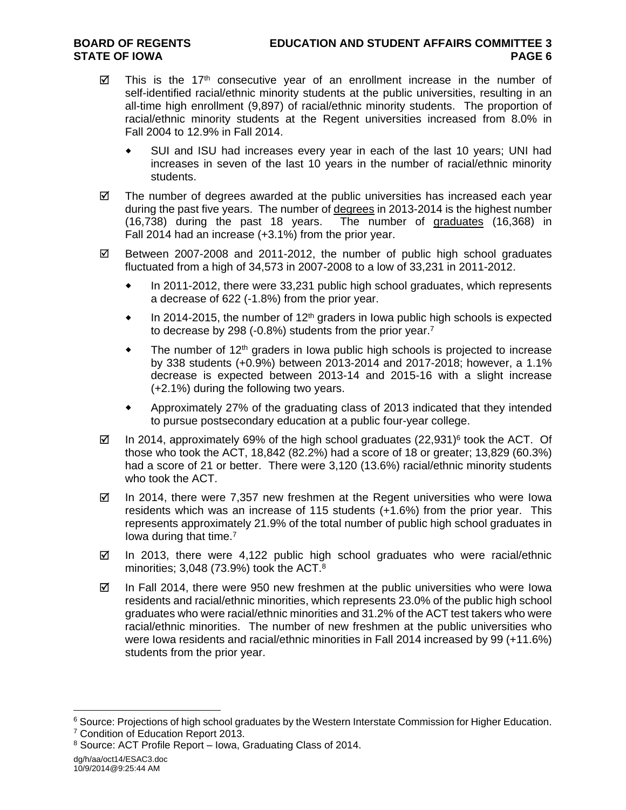- $\boxtimes$  This is the 17<sup>th</sup> consecutive year of an enrollment increase in the number of self-identified racial/ethnic minority students at the public universities, resulting in an all-time high enrollment (9,897) of racial/ethnic minority students. The proportion of racial/ethnic minority students at the Regent universities increased from 8.0% in Fall 2004 to 12.9% in Fall 2014.
	- SUI and ISU had increases every year in each of the last 10 years; UNI had increases in seven of the last 10 years in the number of racial/ethnic minority students.
- $\boxtimes$  The number of degrees awarded at the public universities has increased each year during the past five years. The number of degrees in 2013-2014 is the highest number (16,738) during the past 18 years. The number of graduates (16,368) in Fall 2014 had an increase (+3.1%) from the prior year.
- $\boxtimes$  Between 2007-2008 and 2011-2012, the number of public high school graduates fluctuated from a high of 34,573 in 2007-2008 to a low of 33,231 in 2011-2012.
	- In 2011-2012, there were 33,231 public high school graduates, which represents a decrease of 622 (-1.8%) from the prior year.
	- $\bullet$  In 2014-2015, the number of 12<sup>th</sup> graders in Iowa public high schools is expected to decrease by 298 (-0.8%) students from the prior year.<sup>7</sup>
	- $\bullet$  The number of 12<sup>th</sup> graders in Iowa public high schools is projected to increase by 338 students (+0.9%) between 2013-2014 and 2017-2018; however, a 1.1% decrease is expected between 2013-14 and 2015-16 with a slight increase (+2.1%) during the following two years.
	- Approximately 27% of the graduating class of 2013 indicated that they intended to pursue postsecondary education at a public four-year college.
- $\boxtimes$  In 2014, approximately 69% of the high school graduates (22,931)<sup>6</sup> took the ACT. Of those who took the ACT, 18,842 (82.2%) had a score of 18 or greater; 13,829 (60.3%) had a score of 21 or better. There were 3,120 (13.6%) racial/ethnic minority students who took the ACT.
- $\boxtimes$  In 2014, there were 7,357 new freshmen at the Regent universities who were lowa residents which was an increase of 115 students (+1.6%) from the prior year. This represents approximately 21.9% of the total number of public high school graduates in Iowa during that time.<sup>7</sup>
- $\boxtimes$  In 2013, there were 4,122 public high school graduates who were racial/ethnic minorities;  $3,048$  (73.9%) took the ACT. $8$
- $\boxtimes$  In Fall 2014, there were 950 new freshmen at the public universities who were lowa residents and racial/ethnic minorities, which represents 23.0% of the public high school graduates who were racial/ethnic minorities and 31.2% of the ACT test takers who were racial/ethnic minorities. The number of new freshmen at the public universities who were Iowa residents and racial/ethnic minorities in Fall 2014 increased by 99 (+11.6%) students from the prior year.

 $\overline{a}$ 

<sup>&</sup>lt;sup>6</sup> Source: Projections of high school graduates by the Western Interstate Commission for Higher Education.

<sup>7</sup> Condition of Education Report 2013.

<sup>8</sup> Source: ACT Profile Report – Iowa, Graduating Class of 2014.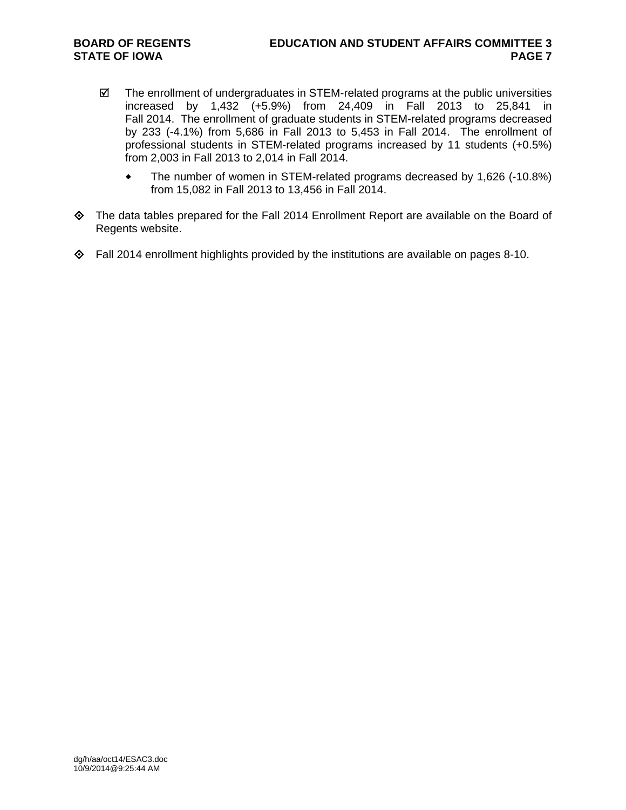- $\boxtimes$  The enrollment of undergraduates in STEM-related programs at the public universities increased by 1,432 (+5.9%) from 24,409 in Fall 2013 to 25,841 in Fall 2014. The enrollment of graduate students in STEM-related programs decreased by 233 (-4.1%) from 5,686 in Fall 2013 to 5,453 in Fall 2014. The enrollment of professional students in STEM-related programs increased by 11 students (+0.5%) from 2,003 in Fall 2013 to 2,014 in Fall 2014.
	- The number of women in STEM-related programs decreased by 1,626 (-10.8%) from 15,082 in Fall 2013 to 13,456 in Fall 2014.
- The data tables prepared for the Fall 2014 Enrollment Report are available on the Board of Regents website.
- $\Diamond$  Fall 2014 enrollment highlights provided by the institutions are available on pages 8-10.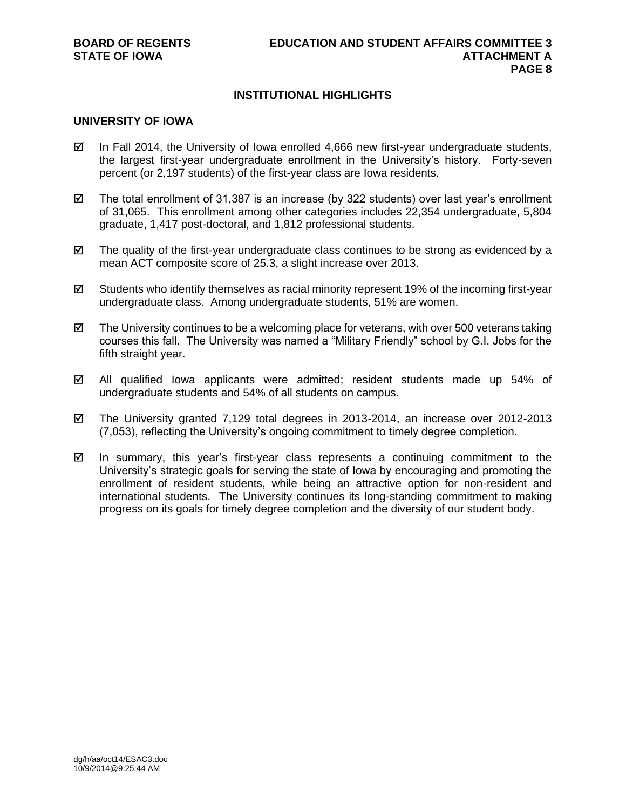# **INSTITUTIONAL HIGHLIGHTS**

#### **UNIVERSITY OF IOWA**

- $\boxtimes$  In Fall 2014, the University of Iowa enrolled 4,666 new first-year undergraduate students, the largest first-year undergraduate enrollment in the University's history. Forty-seven percent (or 2,197 students) of the first-year class are Iowa residents.
- $\boxtimes$  The total enrollment of 31,387 is an increase (by 322 students) over last year's enrollment of 31,065. This enrollment among other categories includes 22,354 undergraduate, 5,804 graduate, 1,417 post-doctoral, and 1,812 professional students.
- $\boxtimes$  The quality of the first-year undergraduate class continues to be strong as evidenced by a mean ACT composite score of 25.3, a slight increase over 2013.
- $\boxtimes$  Students who identify themselves as racial minority represent 19% of the incoming first-year undergraduate class. Among undergraduate students, 51% are women.
- $\boxtimes$  The University continues to be a welcoming place for veterans, with over 500 veterans taking courses this fall. The University was named a "Military Friendly" school by G.I. Jobs for the fifth straight year.
- $\boxtimes$  All qualified lowa applicants were admitted; resident students made up 54% of undergraduate students and 54% of all students on campus.
- $\boxtimes$  The University granted 7,129 total degrees in 2013-2014, an increase over 2012-2013 (7,053), reflecting the University's ongoing commitment to timely degree completion.
- $\boxtimes$  In summary, this year's first-year class represents a continuing commitment to the University's strategic goals for serving the state of Iowa by encouraging and promoting the enrollment of resident students, while being an attractive option for non-resident and international students. The University continues its long-standing commitment to making progress on its goals for timely degree completion and the diversity of our student body.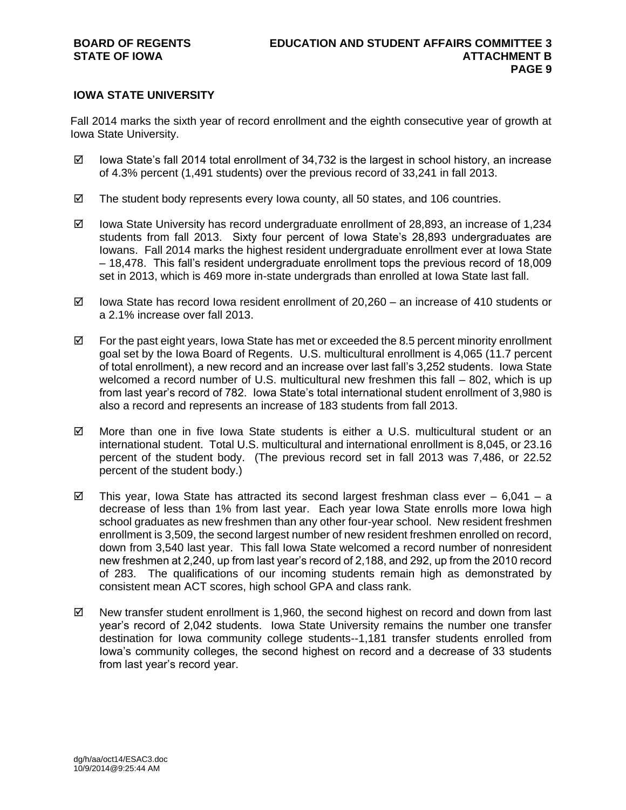# **IOWA STATE UNIVERSITY**

Fall 2014 marks the sixth year of record enrollment and the eighth consecutive year of growth at Iowa State University.

- $\boxtimes$  lowa State's fall 2014 total enrollment of 34,732 is the largest in school history, an increase of 4.3% percent (1,491 students) over the previous record of 33,241 in fall 2013.
- $\boxtimes$  The student body represents every lowa county, all 50 states, and 106 countries.
- $\boxtimes$  lowa State University has record undergraduate enrollment of 28,893, an increase of 1,234 students from fall 2013. Sixty four percent of Iowa State's 28,893 undergraduates are Iowans. Fall 2014 marks the highest resident undergraduate enrollment ever at Iowa State – 18,478. This fall's resident undergraduate enrollment tops the previous record of 18,009 set in 2013, which is 469 more in-state undergrads than enrolled at Iowa State last fall.
- $\boxtimes$  Iowa State has record Iowa resident enrollment of 20,260 an increase of 410 students or a 2.1% increase over fall 2013.
- $\boxtimes$  For the past eight years, Iowa State has met or exceeded the 8.5 percent minority enrollment goal set by the Iowa Board of Regents. U.S. multicultural enrollment is 4,065 (11.7 percent of total enrollment), a new record and an increase over last fall's 3,252 students. Iowa State welcomed a record number of U.S. multicultural new freshmen this fall – 802, which is up from last year's record of 782. Iowa State's total international student enrollment of 3,980 is also a record and represents an increase of 183 students from fall 2013.
- $\boxtimes$  More than one in five Iowa State students is either a U.S. multicultural student or an international student. Total U.S. multicultural and international enrollment is 8,045, or 23.16 percent of the student body. (The previous record set in fall 2013 was 7,486, or 22.52 percent of the student body.)
- $\boxtimes$  This year, lowa State has attracted its second largest freshman class ever 6,041 a decrease of less than 1% from last year. Each year Iowa State enrolls more Iowa high school graduates as new freshmen than any other four-year school. New resident freshmen enrollment is 3,509, the second largest number of new resident freshmen enrolled on record, down from 3,540 last year. This fall Iowa State welcomed a record number of nonresident new freshmen at 2,240, up from last year's record of 2,188, and 292, up from the 2010 record of 283. The qualifications of our incoming students remain high as demonstrated by consistent mean ACT scores, high school GPA and class rank.
- $\boxtimes$  New transfer student enrollment is 1,960, the second highest on record and down from last year's record of 2,042 students. Iowa State University remains the number one transfer destination for Iowa community college students--1,181 transfer students enrolled from Iowa's community colleges, the second highest on record and a decrease of 33 students from last year's record year.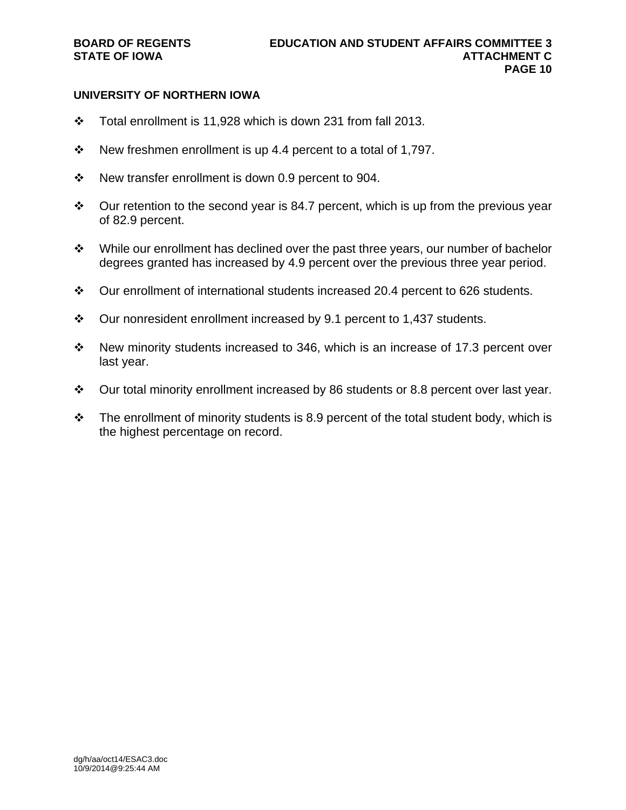# **UNIVERSITY OF NORTHERN IOWA**

- Total enrollment is 11,928 which is down 231 from fall 2013.
- $\div$  New freshmen enrollment is up 4.4 percent to a total of 1,797.
- $\cdot \cdot$  New transfer enrollment is down 0.9 percent to 904.
- $\div$  Our retention to the second year is 84.7 percent, which is up from the previous year of 82.9 percent.
- While our enrollment has declined over the past three years, our number of bachelor degrees granted has increased by 4.9 percent over the previous three year period.
- $\div$  Our enrollment of international students increased 20.4 percent to 626 students.
- $\cdot$  Our nonresident enrollment increased by 9.1 percent to 1,437 students.
- \* New minority students increased to 346, which is an increase of 17.3 percent over last year.
- $\div$  Our total minority enrollment increased by 86 students or 8.8 percent over last year.
- $\div$  The enrollment of minority students is 8.9 percent of the total student body, which is the highest percentage on record.